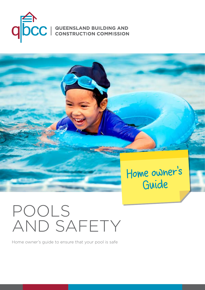



# POOLS AND SAFETY

Home owner's guide to ensure that your pool is safe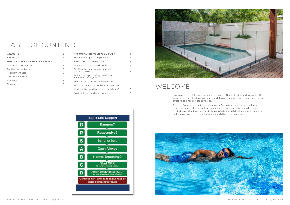# TABLE OF CONTENTS

| <b>WELCOME</b>                   | 3                        |
|----------------------------------|--------------------------|
| <b>ABOUT US</b>                  | 4                        |
| WHAT CLASSES AS A SWIMMING POOL? | 4                        |
| Does your pool comply?           | $\overline{\mathcal{A}}$ |
| Pool barriers or fences          | 5                        |
| Pool barrier gates               | 5                        |
| Door and windows                 | 5                        |
| <b>Balconies</b>                 | 5                        |
| Signage                          | 5                        |

| TIPS ON MAKING YOUR POOL SAFER                               | 6 |
|--------------------------------------------------------------|---|
| Who enforces pool compliance?                                | 6 |
| Should my pool be registered?                                | 6 |
| When is a pool a 'shared' pool?                              | 6 |
| Certificates-only required in event<br>of sale or lease      | 6 |
| When does a pool safety certificate<br>need to be displayed? | 7 |
| How do I get a pool safety certificate?                      | 7 |
| What happens if the pool doesn't comply?                     | 7 |
| What are the penalties for non-compliance?                   | 7 |
| Dividing fences and pool owners                              |   |
|                                                              |   |





# WELCOME

Drowning is one of the leading causes of death in Queensland for children under the age of five years old. Supervising young children, teaching them to swim and having effective pool fencing can save lives.

Owners of pools, spas and portable pools in Queensland must ensure their pool barrier complies with the pool safety standard. This home owner's guide has been created to provide tools and tips to help navigate through the legal requirements so that you can learn more about your responsibilities as a pool owner.

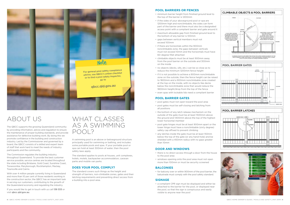

# ABOUT US

The QBCC supports the growing Queensland community by providing information, advice and regulation to ensure the maintenance of proper building standards, and provide assistance for defective building work. By doing this we promote confidence in the building and construction industry. Led by the Commissioner and governed by a board, the QBCC consists of a skilled and expert team of staff that work hard to meet the needs of industry participants and the community.

If you would like to get in touch with us call 139 333 or visit [qbcc.qld.gov.au](http://www.qbcc.qld.gov.au).

The Commission regulates the building industry throughout Queensland. To provide the best customer service possible, service centres are located throughout the state including Brisbane, Gold Coast, Sunshine Coast, Toowoomba, Maryborough, Rockhampton, Mackay, Townsville and Cairns.

With over 4 million people currently living in Queensland and more than 10 per cent of those residents working in the construction sector, the QBCC has an important task in serving our customers, contributing to the growth of the Queensland economy and regulating the industry.

## WHAT CLASSES AS A SWIMMING POOL?

A swimming pool is an above or belowground structure principally used for swimming or bathing, and includes some portable pools and spas. If your portable pool or spa can hold at least 300mm of water, then the pool safety laws apply.

The standard applies to pools at houses, unit complexes, hotels, motels, backpacker accommodation, caravan parks and mobile van parks.

#### **DOES YOUR POOL COMPLY?**

The standard covers such things as the height and strength of barriers, non-climbable zones, gates and their latching requirements and preventing direct access from a building into a pool area.

#### **POOL BARRIERS OR FENCES**

- minimum barrier height from finished ground level to the top of the barrier is 1200mm
- if the sides of your aboveground pool or spa are 1200mm high and nonclimbable, the sides can form part of the barrier and there must also be a designated access point with a compliant barrier and gate around it
- maximum allowable gap from finished ground level to the bottom of any barrier is 100mm
- gaps between vertical members must not exceed 100mm
- if there are horizontals within the 900mm nonclimbable zone, the gaps between verticals must not exceed 10mm and the horizontals must have 60-degree fillet attached
- climbable objects must be at least 900mm away from the pool barrier on the outside and 300mm on the inside
- no objects (decks, sills, etc.) can be so close as to reduce the minimum 1200mm fence height
- if it is not possible to achieve a 900mm nonclimbable zone on the outside, then the fence height can be raised to 1800mm and a 900mm nonclimbable zone created at the top on the inside, with no objects like decks below the nonclimbable zone that would reduce the 1800mm height/drop from the top of the fence
- even spas with lockable lids need a compliant barrier

#### **POOL BARRIER GATES**

- pool gates must not open toward the pool area
- pool gates must be self-closing and latching from all positions
- the bottom of any latch release mechanism on the outside of the gate must be at least 1500mm above the ground and 1400mm above the top of the highest lower horizontal member
- pool gate hinges must be at least 900mm apart or the lower hinge must have a nonclimbable (sixty degree) safety cap affixed to prevent climbing
- any latches inside the gate must be at least 150mm below the top of the gate (or any hand-hole) and be shielded with a 450mm radius with no gaps greater than 10mm

#### **DOOR AND WINDOWS**

- there is no direct access through a door from the house to the pool area
- windows opening onto the pool area must not open more than 100mm or must be security screened

#### **BALCONIES**

• for balcony over or within 900mm of the pool barrier, the balustrade must comply with the pool safety standard.

#### **SIGNAGE**

• a compliant CPR sign must be displayed and either be attached to the barrier for the pool, or displayed near the pool, so that the sign is conspicuous and easily visible to anyone near the pool

<span id="page-2-0"></span>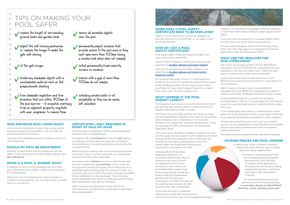#### **WHEN DOES A POOL SAFETY CERTIFICATE NEED TO BE DISPLAYED?**

When it is for a shared pool. It must be displayed at the main entrance to the premises, or at a gate or door accessing the pool.

#### **HOW DO I GET A POOL SAFETY CERTIFICATE?**

Only a pool safety inspector licensed by QBCC can issue a pool safety certificate.

Check if there is already a certificate for the pool by searching at **[my.qbcc.qld.gov.au/s/pool-register](https://my.qbcc.qld.gov.au/s/pool-register)**

Find a list of all licensed pool safety inspectors by searching at **[my.qbcc.qld.gov.au/s/pool-safety](http://my.qbcc.qld.gov.au/s/pool-safety-inspector-search)[inspector-search](http://my.qbcc.qld.gov.au/s/pool-safety-inspector-search)**

For recently built pools, a Form 17 –Final inspection certificate or a Form 11 –Certificate of classification given by the building certifier can be used as a pool safety certificate for 1 year from its date of issue for a shared pool, and 2 years for a non-shared pool.

#### **WHAT HAPPENS IF THE POOL DOESN'T COMPLY?**

The inspector must issue a non-conformity notice (Form 26) advising how the pool doesn't comply and what is needed to be done to make it comply.

The owner may personally perform the repairs to make the pool legislatively compliant if the value of the building work (including cost of materials) is not more than \$11,000 or the repairs are "accepted development" under the Building Act 1975 and Schedule 1 of the Building Regulation 2006.

If the pool owner decides to engage a contractor to carry out the repairs and the repairs involve building work which exceeds \$3,300 (including the cost of materials), the contractor must hold an appropriate contractor's licence under the Queensland Building and Construction Commission Act 1991.

Schedule 2B of the Building Regulation 2006 sets out prescribed minor repairs that an inspector may carry out with the agreement of the owner. An inspector who carries out prescribed minor repairs must hold an appropriate contractor's licence under the Queensland Building and Construction Commission Act 1991 if the value of the building work exceeds \$3,300 (including the cost of materials).

If you need the pool re-inspected within three months after receiving the nonconformity notice, you must reengage the original inspector. It is an offence to engage a different inspector in that three month period without written approval from QBCC.

If you don't ask the inspector to re-inspect within three months, they must notify the local government.

If a pool owner disagrees with a nonconformity notice (Form 26), they may appeal to a Development Tribunal established under the *Planning Act 2016*.

#### **WHAT ARE THE PENALTIES FOR NON-COMPLIANCE?**

The courts can impose penalties of over \$20,000 for individuals and over \$100,000 for corporations for noncompliance with the pool safety laws. These fines also apply to anybody who props open a pool gate.

Local governments issue on-the-spot fines of over \$900 for individuals and over \$2,600 for corporations for noncompliance.

QBCC issues on-the-spot fines of over \$2,000 for individuals and over \$6,000 for corporations for failure to obtain a pool safety certificate in the event of sale or lease.

Similar penalties apply for occupiers of a property, including tenants, who don't ensure gates and doors giving access to a pool are kept securely closed at all times when not in use.

secure all moveable objects near the pool

> A real estate agent who collects a commission for a new lease with a non-shared pool with no pool safety certificate faces potential disciplinary proceedings by their regulator.

> Tenants who install their own pool, such as a portable pool or spa, are responsible for ensuring the pool complies with the pool safety standard and obtain all required building approvals.

Permission from the property owner may also be required.

#### **DIVIDING FENCES AND POOL OWNERS**

In many cases, using a common boundary fence is the most efficient way to comply with pool safety requirements.

> Provisions in the *Building Act 1975*  and the *Neighbourhood Disputes Resolution Act 2011*, facilitate a common-sense approach to fencing work such as encouraging agreements between neighbours and 'like for like' replacement of fences.

For more information about pool barriers on common boundaries go to [www.qbcc.qld.gov.au/sites/default/](http://www.qbcc.qld.gov.au/sites/default/files/Pool_safety_dividing_fences.pdf ) [files/Pool\\_safety\\_dividing\\_fences.pdf](http://www.qbcc.qld.gov.au/sites/default/files/Pool_safety_dividing_fences.pdf )

#### **WHO ENFORCES POOL COMPLIANCE?**

Local councils inspect pools when they receive written complaints about noncompliance. They can take any enforcement action necessary.

They may also undertake random compliance audits of swimming pools.

#### **SHOULD MY POOL BE REGISTERED?**

All pools in Queensland must be registered with the QBCC. To list your pool on the pool safety register, visit [qbcc.qld.gov.au](http://www.qbcc.qld.gov.au).

#### **WHEN IS A POOL A 'SHARED' POOL?**

If residents of two or more dwellings can use a pool (e.g. a residential unit complex, motel or caravan park), it is a shared pool.

Otherwise it's a non-shared pool—only accessible to residents of one dwelling—e.g. a private house or private spa on a unit balcony.

#### **CERTIFICATES—ONLY REQUIRED IN EVENT OF SALE OR LEASE**

You must have a certificate in effect before leasing any property with a nonshared pool.

A property with a nonshared pool may be sold without a certificate, but the seller must give the purchaser a Form 36 Notice of no certificate before entering into the contract for sale.

When buying a property with a non-shared pool (house) that doesn't have a current certificate, you must obtain one within 90 days after settlement.

A property with a shared pool (unit or townhouse) may be sold or leased with no certificate, but for a sale you must give the prospective buyer a Form 36 Notice of no certificate before entering into the contract for sale. You must also give a Form 36 to the body corporate and QBCC before settlement (or the new lease). The pool owner (body corporate) must obtain a certificate within 90 days after settlement of the sale (or the lease).

QBCC issues on-the-spot fines of over \$2,000 for individuals and over \$6,000 for corporations who breach these requirements.



### TIPS ON MAKING YOUR POOL SAFER

reduce the height of surrounding ground levels and garden beds

adjust the self-closing mechanism or replace the hinges to make the gate self-closing

vil the gate hinges

 $\begin{array}{ccc} \hline \end{array}$ 

 $\bullet$ 

 $\bigcirc$ 

 $\bigcirc$ 

 $\begin{array}{c} \begin{array}{c} \begin{array}{c} \begin{array}{c} \end{array} \end{array} \end{array} \end{array} \end{array}$ 

 $\begin{array}{ccc} \hline \end{array}$ 

 $\bigcirc$ 

shield any climbable objects with a nonclimbable material such as flat polycarbonate sheeting

trim climbable vegetation and tree branches that are within 900mm of the pool barrier  $-$  if branches overhang from an adjacent property, negotiate with your neighbour to remove them

permanently adjust windows that provide access to the pool area so they can't open more than 100mm (using a window lock alone does not comply)

install permanently fixed security screens on windows

louvres with a gap of more than 100mm do not comply

installing window locks is not acceptable as they can be easily left unlocked